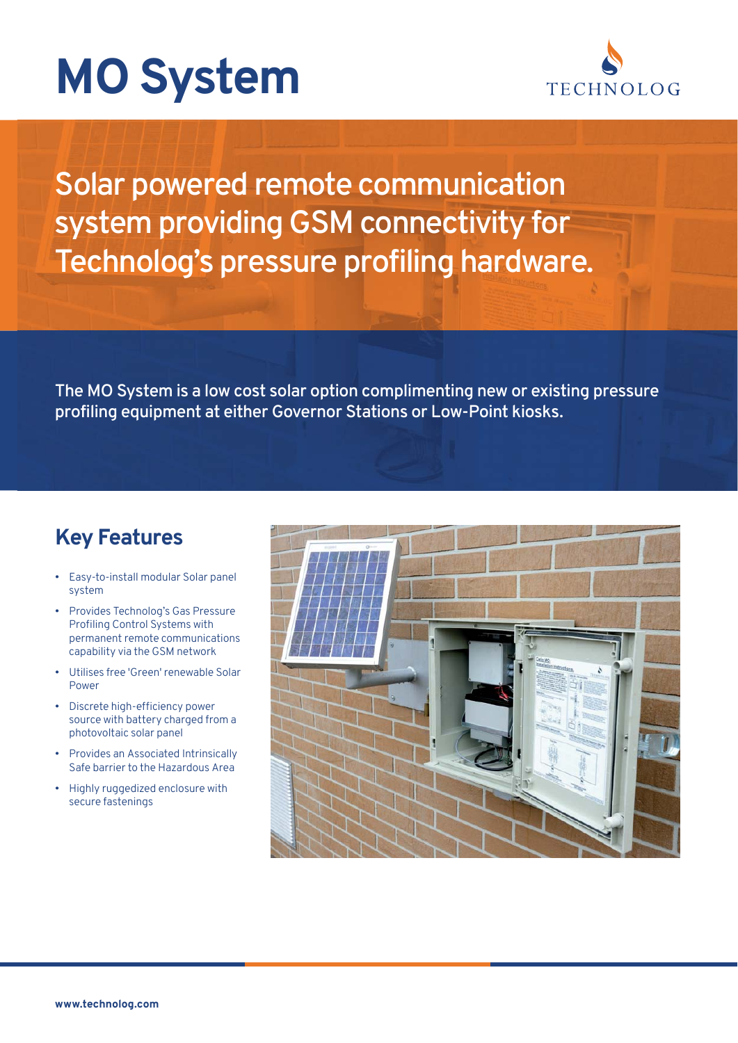



Solar powered remote communication system providing GSM connectivity for Technolog's pressure profiling hardware.

The MO System is a low cost solar option complimenting new or existing pressure profiling equipment at either Governor Stations or Low-Point kiosks.

## **Key Features**

- Easy-to-install modular Solar panel system
- Provides Technolog's Gas Pressure Profiling Control Systems with permanent remote communications capability via the GSM network
- Utilises free 'Green' renewable Solar Power
- Discrete high-efficiency power source with battery charged from a photovoltaic solar panel
- Provides an Associated Intrinsically Safe barrier to the Hazardous Area
- Highly ruggedized enclosure with secure fastenings